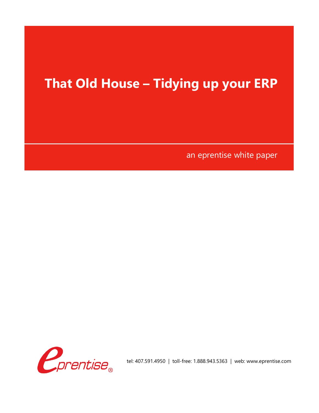## **That Old House – Tidying up your ERP**

an eprentise white paper

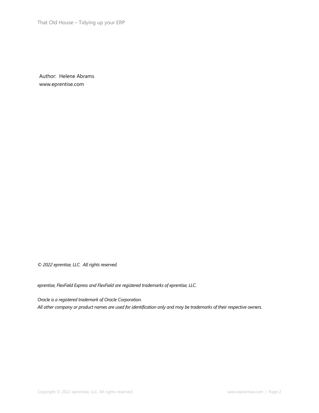Author: Helene Abrams www.eprentise.com

*© 2022 eprentise, LLC. All rights reserved.*

*eprentise, FlexField Express and FlexField are registered trademarks of eprentise, LLC.*

*Oracle is a registered trademark of Oracle Corporation. All other company or product names are used for identification only and may be trademarks of their respective owners.*